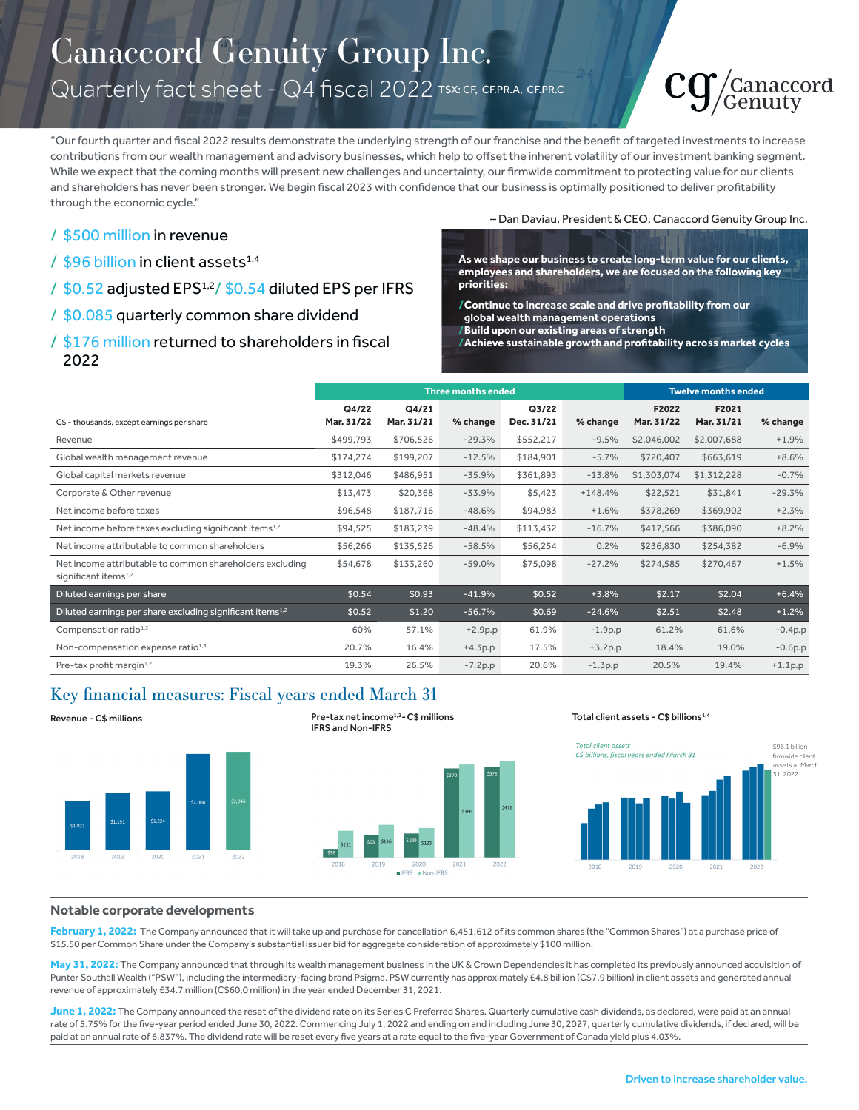# Canaccord Genuity Group Inc. Quarterly fact sheet - Q4 fiscal 2022 TSX: CF, CF.PR.A, CF.PR.C



"Our fourth quarter and fiscal 2022 results demonstrate the underlying strength of our franchise and the benefit of targeted investments to increase contributions from our wealth management and advisory businesses, which help to offset the inherent volatility of our investment banking segment. While we expect that the coming months will present new challenges and uncertainty, our firmwide commitment to protecting value for our clients and shareholders has never been stronger. We begin fiscal 2023 with confidence that our business is optimally positioned to deliver profitability through the economic cycle."

## / \$500 million in revenue

- / \$96 billion in client assets<sup>1,4</sup>
- / \$0.52 adjusted EPS<sup>1,2</sup>/ \$0.54 diluted EPS per IFRS

### / \$0.085 quarterly common share dividend

## / \$176 million returned to shareholders in fiscal 2022

– Dan Daviau, President & CEO, Canaccord Genuity Group Inc.

**As we shape our business to create long-term value for our clients, employees and shareholders, we are focused on the following key priorities:**

- **/Continue to increase scale and drive profitability from our global wealth management operations**
- **/Build upon our existing areas of strength**

**/Achieve sustainable growth and profitability across market cycles**

|                                                                                              | <b>Three months ended</b> |                     |           |                     |           | <b>Twelve months ended</b> |                     |           |
|----------------------------------------------------------------------------------------------|---------------------------|---------------------|-----------|---------------------|-----------|----------------------------|---------------------|-----------|
| C\$ - thousands, except earnings per share                                                   | Q4/22<br>Mar. 31/22       | Q4/21<br>Mar. 31/21 | % change  | Q3/22<br>Dec. 31/21 | % change  | F2022<br>Mar. 31/22        | F2021<br>Mar. 31/21 | % change  |
| Revenue                                                                                      | \$499,793                 | \$706,526           | $-29.3%$  | \$552,217           | $-9.5%$   | \$2,046,002                | \$2,007,688         | $+1.9%$   |
| Global wealth management revenue                                                             | \$174,274                 | \$199,207           | $-12.5%$  | \$184,901           | $-5.7%$   | \$720,407                  | \$663,619           | $+8.6%$   |
| Global capital markets revenue                                                               | \$312,046                 | \$486,951           | $-35.9%$  | \$361,893           | $-13.8%$  | \$1,303,074                | \$1,312,228         | $-0.7%$   |
| Corporate & Other revenue                                                                    | \$13,473                  | \$20,368            | $-33.9%$  | \$5,423             | $+148.4%$ | \$22,521                   | \$31,841            | $-29.3%$  |
| Net income before taxes                                                                      | \$96,548                  | \$187,716           | $-48.6%$  | \$94,983            | $+1.6%$   | \$378,269                  | \$369,902           | $+2.3%$   |
| Net income before taxes excluding significant items <sup>1,2</sup>                           | \$94,525                  | \$183,239           | $-48.4%$  | \$113,432           | $-16.7%$  | \$417,566                  | \$386,090           | $+8.2%$   |
| Net income attributable to common shareholders                                               | \$56,266                  | \$135,526           | $-58.5%$  | \$56,254            | 0.2%      | \$236,830                  | \$254,382           | $-6.9%$   |
| Net income attributable to common shareholders excluding<br>significant items <sup>1,2</sup> | \$54,678                  | \$133,260           | $-59.0%$  | \$75,098            | $-27.2%$  | \$274,585                  | \$270,467           | $+1.5%$   |
| Diluted earnings per share                                                                   | \$0.54                    | \$0.93              | $-41.9%$  | \$0.52              | $+3.8%$   | \$2.17                     | \$2.04              | $+6.4%$   |
| Diluted earnings per share excluding significant items <sup>1,2</sup>                        | \$0.52                    | \$1.20              | $-56.7%$  | \$0.69              | $-24.6%$  | \$2.51                     | \$2.48              | $+1.2%$   |
| Compensation ratio <sup>1,3</sup>                                                            | 60%                       | 57.1%               | $+2.9p.p$ | 61.9%               | $-1.9p.p$ | 61.2%                      | 61.6%               | $-0.4p.p$ |
| Non-compensation expense ratio <sup>1,3</sup>                                                | 20.7%                     | 16.4%               | $+4.3p.p$ | 17.5%               | $+3.2p.p$ | 18.4%                      | 19.0%               | $-0.6p.p$ |
| Pre-tax profit margin <sup>1,2</sup>                                                         | 19.3%                     | 26.5%               | $-7.2p.p$ | 20.6%               | $-1.3p.p$ | 20.5%                      | 19.4%               | $+1.1p.p$ |

# Key financial measures: Fiscal years ended March 31



# IFRS and Non-IFRS



#### Total client assets - C\$ billions<sup>1,4</sup>



#### **Notable corporate developments**

February 1, 2022: The Company announced that it will take up and purchase for cancellation 6,451,612 of its common shares (the "Common Shares") at a purchase price of \$15.50 per Common Share under the Company's substantial issuer bid for aggregate consideration of approximately \$100 million.

May 31, 2022: The Company announced that through its wealth management business in the UK & Crown Dependencies it has completed its previously announced acquisition of Punter Southall Wealth ("PSW"), including the intermediary-facing brand Psigma. PSW currently has approximately £4.8 billion (C\$7.9 billion) in client assets and generated annual revenue of approximately £34.7 million (C\$60.0 million) in the year ended December 31, 2021.

**June 1, 2022:** The Company announced the reset of the dividend rate on its Series C Preferred Shares. Quarterly cumulative cash dividends, as declared, were paid at an annual rate of 5.75% for the five-year period ended June 30, 2022. Commencing July 1, 2022 and ending on and including June 30, 2027, quarterly cumulative dividends, if declared, will be paid at an annual rate of 6.837%. The dividend rate will be reset every five years at a rate equal to the five-year Government of Canada yield plus 4.03%.